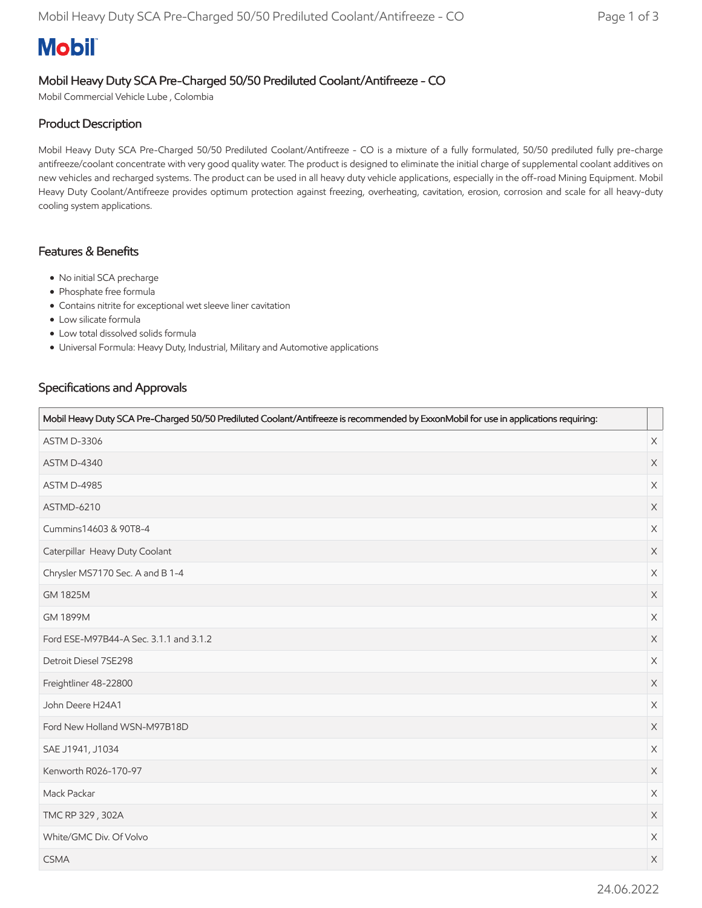# **Mobil**

## Mobil Heavy Duty SCA Pre-Charged 50/50 Prediluted Coolant/Antifreeze - CO

Mobil Commercial Vehicle Lube , Colombia

#### Product Description

Mobil Heavy Duty SCA Pre-Charged 50/50 Prediluted Coolant/Antifreeze - CO is a mixture of a fully formulated, 50/50 prediluted fully pre-charge antifreeze/coolant concentrate with very good quality water. The product is designed to eliminate the initial charge of supplemental coolant additives on new vehicles and recharged systems. The product can be used in all heavy duty vehicle applications, especially in the off-road Mining Equipment. Mobil Heavy Duty Coolant/Antifreeze provides optimum protection against freezing, overheating, cavitation, erosion, corrosion and scale for all heavy-duty cooling system applications.

#### Features & Benefits

- No initial SCA precharge
- Phosphate free formula
- Contains nitrite for exceptional wet sleeve liner cavitation
- Low silicate formula
- Low total dissolved solids formula
- Universal Formula: Heavy Duty, Industrial, Military and Automotive applications

#### Specifications and Approvals

| Mobil Heavy Duty SCA Pre-Charged 50/50 Prediluted Coolant/Antifreeze is recommended by ExxonMobil for use in applications requiring: |                       |
|--------------------------------------------------------------------------------------------------------------------------------------|-----------------------|
| <b>ASTM D-3306</b>                                                                                                                   | $\mathsf X$           |
| <b>ASTM D-4340</b>                                                                                                                   | X                     |
| ASTM D-4985                                                                                                                          | $\boldsymbol{\times}$ |
| <b>ASTMD-6210</b>                                                                                                                    | $\boldsymbol{\times}$ |
| Cummins14603 & 90T8-4                                                                                                                | $\times$              |
| Caterpillar Heavy Duty Coolant                                                                                                       | $\boldsymbol{\times}$ |
| Chrysler MS7170 Sec. A and B 1-4                                                                                                     | $\boldsymbol{\times}$ |
| GM 1825M                                                                                                                             | $\mathsf X$           |
| <b>GM 1899M</b>                                                                                                                      | $\boldsymbol{\times}$ |
| Ford ESE-M97B44-A Sec. 3.1.1 and 3.1.2                                                                                               | $\boldsymbol{\times}$ |
| Detroit Diesel 7SE298                                                                                                                | $\boldsymbol{\times}$ |
| Freightliner 48-22800                                                                                                                | $\boldsymbol{\times}$ |
| John Deere H24A1                                                                                                                     | $\mathsf X$           |
| Ford New Holland WSN-M97B18D                                                                                                         | $\boldsymbol{\times}$ |
| SAE J1941, J1034                                                                                                                     | $\boldsymbol{\times}$ |
| Kenworth R026-170-97                                                                                                                 | $\boldsymbol{\times}$ |
| Mack Packar                                                                                                                          | $\times$              |
| TMC RP 329, 302A                                                                                                                     | $\mathsf X$           |
| White/GMC Div. Of Volvo                                                                                                              | $\times$              |
| <b>CSMA</b>                                                                                                                          | $\boldsymbol{\times}$ |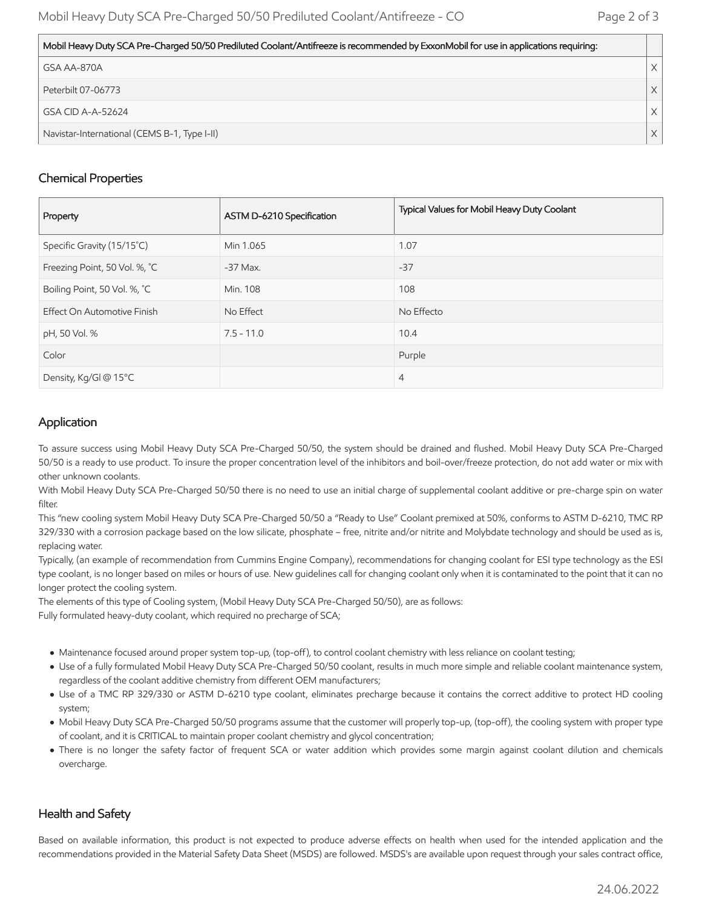| Mobil Heavy Duty SCA Pre-Charged 50/50 Prediluted Coolant/Antifreeze is recommended by ExxonMobil for use in applications requiring: |          |
|--------------------------------------------------------------------------------------------------------------------------------------|----------|
| GSA AA-870A                                                                                                                          |          |
| Peterbilt 07-06773                                                                                                                   | $\times$ |
| l GSA CID A-A-52624                                                                                                                  | $\times$ |
| Navistar-International (CEMS B-1, Type I-II)                                                                                         |          |

#### Chemical Properties

| Property                      | ASTM D-6210 Specification | Typical Values for Mobil Heavy Duty Coolant |
|-------------------------------|---------------------------|---------------------------------------------|
| Specific Gravity (15/15°C)    | Min 1.065                 | 1.07                                        |
| Freezing Point, 50 Vol. %, °C | $-37$ Max.                | $-37$                                       |
| Boiling Point, 50 Vol. %, °C  | Min. 108                  | 108                                         |
| Effect On Automotive Finish   | No Effect                 | No Effecto                                  |
| pH, 50 Vol. %                 | $7.5 - 11.0$              | 10.4                                        |
| Color                         |                           | Purple                                      |
| Density, Kg/Gl @ 15°C         |                           | $\overline{4}$                              |

### Application

To assure success using Mobil Heavy Duty SCA Pre-Charged 50/50, the system should be drained and flushed. Mobil Heavy Duty SCA Pre-Charged 50/50 is a ready to use product. To insure the proper concentration level of the inhibitors and boil-over/freeze protection, do not add water or mix with other unknown coolants.

With Mobil Heavy Duty SCA Pre-Charged 50/50 there is no need to use an initial charge of supplemental coolant additive or pre-charge spin on water filter.

This "new cooling system Mobil Heavy Duty SCA Pre-Charged 50/50 a "Ready to Use" Coolant premixed at 50%, conforms to ASTM D-6210, TMC RP 329/330 with a corrosion package based on the low silicate, phosphate – free, nitrite and/or nitrite and Molybdate technology and should be used as is, replacing water.

Typically, (an example of recommendation from Cummins Engine Company), recommendations for changing coolant for ESI type technology as the ESI type coolant, is no longer based on miles or hours of use. New guidelines call for changing coolant only when it is contaminated to the point that it can no longer protect the cooling system.

The elements of this type of Cooling system, (Mobil Heavy Duty SCA Pre-Charged 50/50), are as follows: Fully formulated heavy-duty coolant, which required no precharge of SCA;

- Maintenance focused around proper system top-up, (top-off), to control coolant chemistry with less reliance on coolant testing;
- Use of a fully formulated Mobil Heavy Duty SCA Pre-Charged 50/50 coolant, results in much more simple and reliable coolant maintenance system, regardless of the coolant additive chemistry from different OEM manufacturers;
- Use of a TMC RP 329/330 or ASTM D-6210 type coolant, eliminates precharge because it contains the correct additive to protect HD cooling system;
- Mobil Heavy Duty SCA Pre-Charged 50/50 programs assume that the customer will properly top-up, (top-off), the cooling system with proper type of coolant, and it is CRITICAL to maintain proper coolant chemistry and glycol concentration;
- There is no longer the safety factor of frequent SCA or water addition which provides some margin against coolant dilution and chemicals overcharge.

#### Health and Safety

Based on available information, this product is not expected to produce adverse effects on health when used for the intended application and the recommendations provided in the Material Safety Data Sheet (MSDS) are followed. MSDS's are available upon request through your sales contract office,